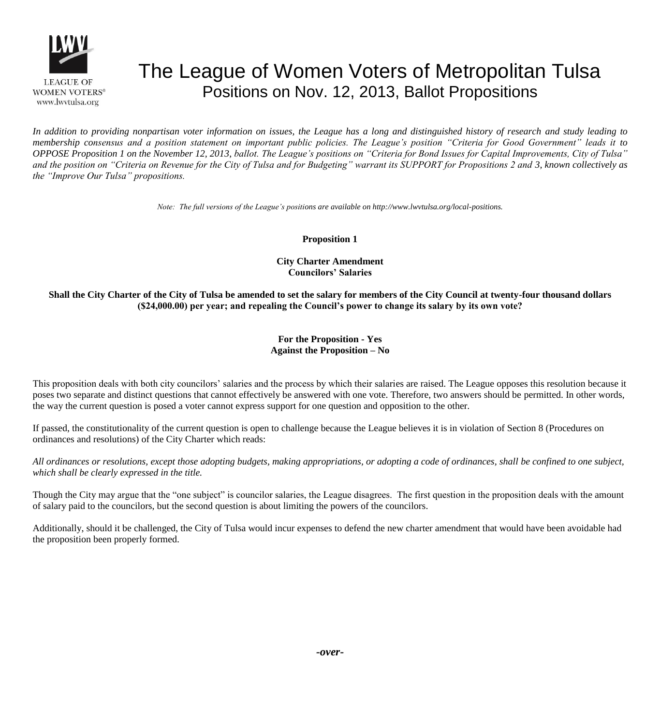

# The League of Women Voters of Metropolitan Tulsa Positions on Nov. 12, 2013, Ballot Propositions

*In addition to providing nonpartisan voter information on issues, the League has a long and distinguished history of research and study leading to membership consensus and a position statement on important public policies. The League's position "Criteria for Good Government" leads it to OPPOSE Proposition 1 on the November 12, 2013, ballot. The League's positions on "Criteria for Bond Issues for Capital Improvements, City of Tulsa" and the position on "Criteria on Revenue for the City of Tulsa and for Budgeting" warrant its SUPPORT for Propositions 2 and 3, known collectively as the "Improve Our Tulsa" propositions.*

*Note: The full versions of the League's positions are available on http://www.lwvtulsa.org/local-positions.*

**Proposition 1**

**City Charter Amendment Councilors' Salaries**

**Shall the City Charter of the City of Tulsa be amended to set the salary for members of the City Council at twenty-four thousand dollars (\$24,000.00) per year; and repealing the Council's power to change its salary by its own vote?**

## **For the Proposition - Yes Against the Proposition – No**

This proposition deals with both city councilors' salaries and the process by which their salaries are raised. The League opposes this resolution because it poses two separate and distinct questions that cannot effectively be answered with one vote. Therefore, two answers should be permitted. In other words, the way the current question is posed a voter cannot express support for one question and opposition to the other.

If passed, the constitutionality of the current question is open to challenge because the League believes it is in violation of Section 8 (Procedures on ordinances and resolutions) of the City Charter which reads:

*All ordinances or resolutions, except those adopting budgets, making appropriations, or adopting a code of ordinances, shall be confined to one subject, which shall be clearly expressed in the title.*

Though the City may argue that the "one subject" is councilor salaries, the League disagrees. The first question in the proposition deals with the amount of salary paid to the councilors, but the second question is about limiting the powers of the councilors.

Additionally, should it be challenged, the City of Tulsa would incur expenses to defend the new charter amendment that would have been avoidable had the proposition been properly formed.